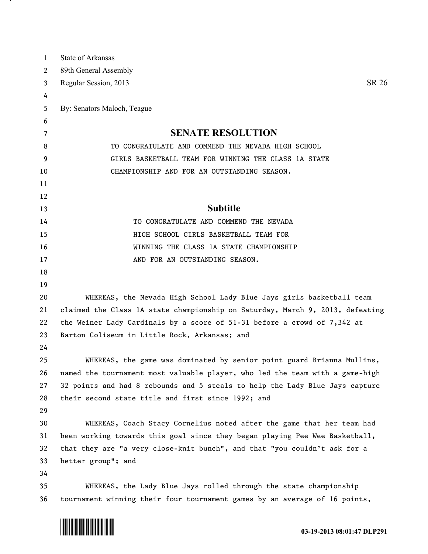| 1  | <b>State of Arkansas</b>                                                      |
|----|-------------------------------------------------------------------------------|
| 2  | 89th General Assembly                                                         |
| 3  | Regular Session, 2013<br>SR 26                                                |
| 4  |                                                                               |
| 5  | By: Senators Maloch, Teague                                                   |
| 6  |                                                                               |
| 7  | <b>SENATE RESOLUTION</b>                                                      |
| 8  | TO CONGRATULATE AND COMMEND THE NEVADA HIGH SCHOOL                            |
| 9  | GIRLS BASKETBALL TEAM FOR WINNING THE CLASS 1A STATE                          |
| 10 | CHAMPIONSHIP AND FOR AN OUTSTANDING SEASON.                                   |
| 11 |                                                                               |
| 12 |                                                                               |
| 13 | <b>Subtitle</b>                                                               |
| 14 | TO CONGRATULATE AND COMMEND THE NEVADA                                        |
| 15 | HIGH SCHOOL GIRLS BASKETBALL TEAM FOR                                         |
| 16 | WINNING THE CLASS 1A STATE CHAMPIONSHIP                                       |
| 17 | AND FOR AN OUTSTANDING SEASON.                                                |
| 18 |                                                                               |
| 19 |                                                                               |
| 20 | WHEREAS, the Nevada High School Lady Blue Jays girls basketball team          |
| 21 | claimed the Class 1A state championship on Saturday, March 9, 2013, defeating |
| 22 | the Weiner Lady Cardinals by a score of 51-31 before a crowd of 7,342 at      |
| 23 | Barton Coliseum in Little Rock, Arkansas; and                                 |
| 24 |                                                                               |
| 25 | WHEREAS, the game was dominated by senior point guard Brianna Mullins,        |
| 26 | named the tournament most valuable player, who led the team with a game-high  |
| 27 | 32 points and had 8 rebounds and 5 steals to help the Lady Blue Jays capture  |
| 28 | their second state title and first since 1992; and                            |
| 29 |                                                                               |
| 30 | WHEREAS, Coach Stacy Cornelius noted after the game that her team had         |
| 31 | been working towards this goal since they began playing Pee Wee Basketball,   |
| 32 | that they are "a very close-knit bunch", and that "you couldn't ask for a     |
| 33 | better group"; and                                                            |
| 34 |                                                                               |
| 35 | WHEREAS, the Lady Blue Jays rolled through the state championship             |
| 36 | tournament winning their four tournament games by an average of 16 points,    |



<u>на п</u>